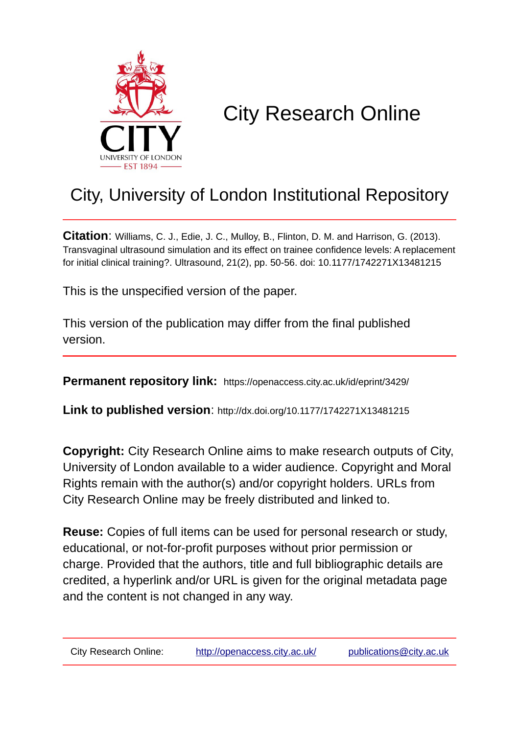

# City Research Online

# City, University of London Institutional Repository

**Citation**: Williams, C. J., Edie, J. C., Mulloy, B., Flinton, D. M. and Harrison, G. (2013). Transvaginal ultrasound simulation and its effect on trainee confidence levels: A replacement for initial clinical training?. Ultrasound, 21(2), pp. 50-56. doi: 10.1177/1742271X13481215

This is the unspecified version of the paper.

This version of the publication may differ from the final published version.

**Permanent repository link:** https://openaccess.city.ac.uk/id/eprint/3429/

**Link to published version**: http://dx.doi.org/10.1177/1742271X13481215

**Copyright:** City Research Online aims to make research outputs of City, University of London available to a wider audience. Copyright and Moral Rights remain with the author(s) and/or copyright holders. URLs from City Research Online may be freely distributed and linked to.

**Reuse:** Copies of full items can be used for personal research or study, educational, or not-for-profit purposes without prior permission or charge. Provided that the authors, title and full bibliographic details are credited, a hyperlink and/or URL is given for the original metadata page and the content is not changed in any way.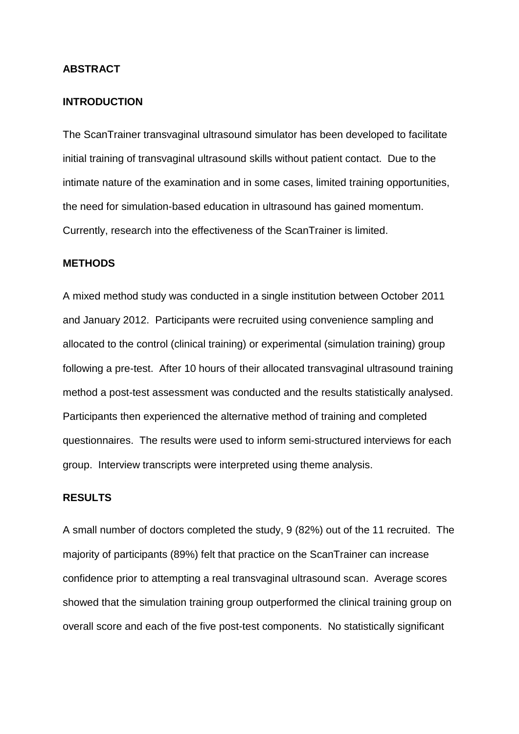#### **ABSTRACT**

#### **INTRODUCTION**

The ScanTrainer transvaginal ultrasound simulator has been developed to facilitate initial training of transvaginal ultrasound skills without patient contact. Due to the intimate nature of the examination and in some cases, limited training opportunities, the need for simulation-based education in ultrasound has gained momentum. Currently, research into the effectiveness of the ScanTrainer is limited.

# **METHODS**

A mixed method study was conducted in a single institution between October 2011 and January 2012. Participants were recruited using convenience sampling and allocated to the control (clinical training) or experimental (simulation training) group following a pre-test. After 10 hours of their allocated transvaginal ultrasound training method a post-test assessment was conducted and the results statistically analysed. Participants then experienced the alternative method of training and completed questionnaires. The results were used to inform semi-structured interviews for each group. Interview transcripts were interpreted using theme analysis.

#### **RESULTS**

A small number of doctors completed the study, 9 (82%) out of the 11 recruited. The majority of participants (89%) felt that practice on the ScanTrainer can increase confidence prior to attempting a real transvaginal ultrasound scan. Average scores showed that the simulation training group outperformed the clinical training group on overall score and each of the five post-test components. No statistically significant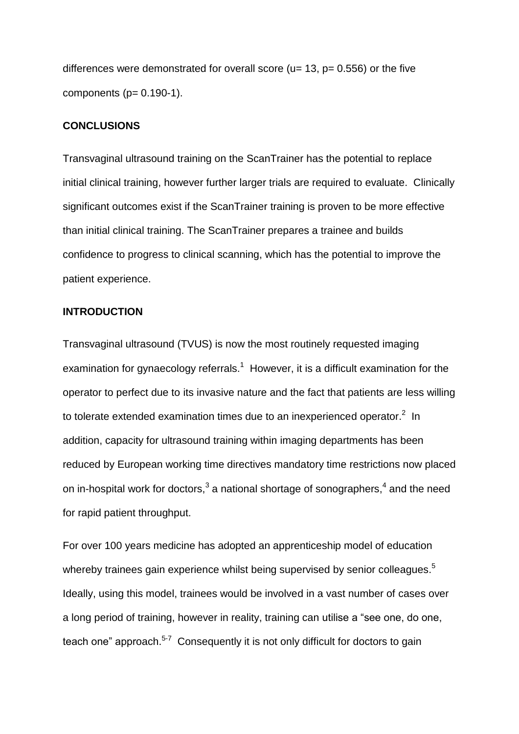differences were demonstrated for overall score ( $u= 13$ ,  $p= 0.556$ ) or the five components  $(p= 0.190-1)$ .

#### **CONCLUSIONS**

Transvaginal ultrasound training on the ScanTrainer has the potential to replace initial clinical training, however further larger trials are required to evaluate. Clinically significant outcomes exist if the ScanTrainer training is proven to be more effective than initial clinical training. The ScanTrainer prepares a trainee and builds confidence to progress to clinical scanning, which has the potential to improve the patient experience.

# **INTRODUCTION**

Transvaginal ultrasound (TVUS) is now the most routinely requested imaging examination for gynaecology referrals.<sup>1</sup> However, it is a difficult examination for the operator to perfect due to its invasive nature and the fact that patients are less willing to tolerate extended examination times due to an inexperienced operator. $2$  In addition, capacity for ultrasound training within imaging departments has been reduced by European working time directives mandatory time restrictions now placed on in-hospital work for doctors,<sup>3</sup> a national shortage of sonographers,<sup>4</sup> and the need for rapid patient throughput.

For over 100 years medicine has adopted an apprenticeship model of education whereby trainees gain experience whilst being supervised by senior colleagues.<sup>5</sup> Ideally, using this model, trainees would be involved in a vast number of cases over a long period of training, however in reality, training can utilise a "see one, do one, teach one" approach.<sup>5-7</sup> Consequently it is not only difficult for doctors to gain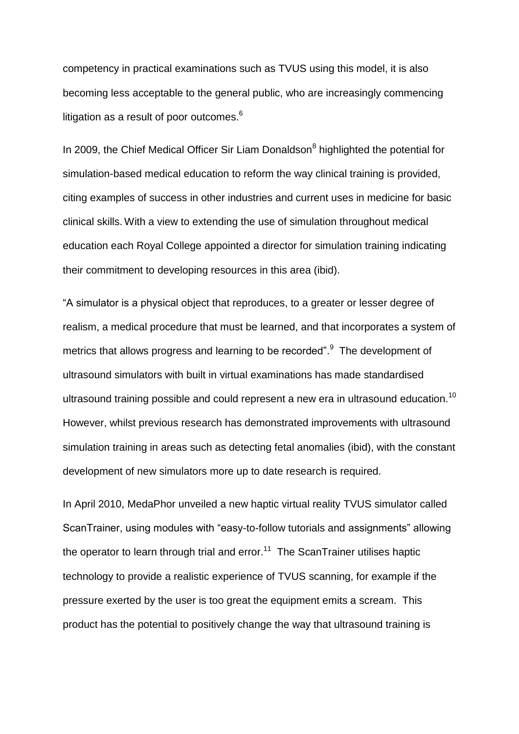competency in practical examinations such as TVUS using this model, it is also becoming less acceptable to the general public, who are increasingly commencing litigation as a result of poor outcomes.<sup>6</sup>

In 2009, the Chief Medical Officer Sir Liam Donaldson<sup>8</sup> highlighted the potential for simulation-based medical education to reform the way clinical training is provided, citing examples of success in other industries and current uses in medicine for basic clinical skills. With a view to extending the use of simulation throughout medical education each Royal College appointed a director for simulation training indicating their commitment to developing resources in this area (ibid).

"A simulator is a physical object that reproduces, to a greater or lesser degree of realism, a medical procedure that must be learned, and that incorporates a system of metrics that allows progress and learning to be recorded". The development of ultrasound simulators with built in virtual examinations has made standardised ultrasound training possible and could represent a new era in ultrasound education.<sup>10</sup> However, whilst previous research has demonstrated improvements with ultrasound simulation training in areas such as detecting fetal anomalies (ibid), with the constant development of new simulators more up to date research is required.

In April 2010, MedaPhor unveiled a new haptic virtual reality TVUS simulator called ScanTrainer, using modules with "easy-to-follow tutorials and assignments" allowing the operator to learn through trial and error.<sup>11</sup> The ScanTrainer utilises haptic technology to provide a realistic experience of TVUS scanning, for example if the pressure exerted by the user is too great the equipment emits a scream. This product has the potential to positively change the way that ultrasound training is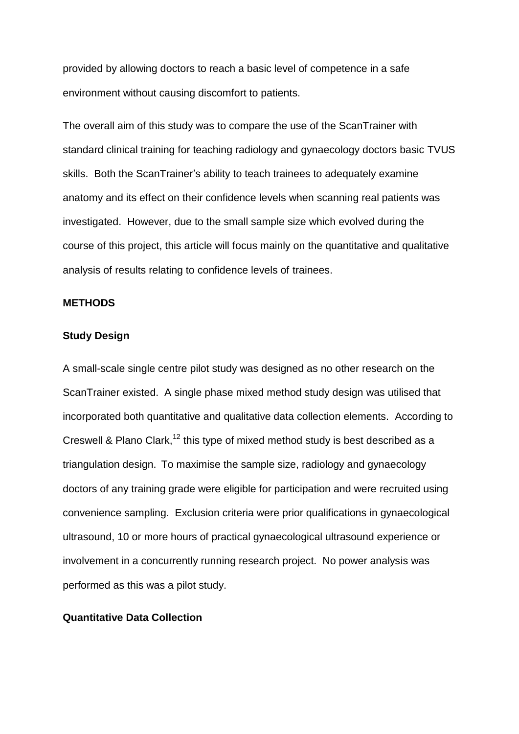provided by allowing doctors to reach a basic level of competence in a safe environment without causing discomfort to patients.

The overall aim of this study was to compare the use of the ScanTrainer with standard clinical training for teaching radiology and gynaecology doctors basic TVUS skills. Both the ScanTrainer's ability to teach trainees to adequately examine anatomy and its effect on their confidence levels when scanning real patients was investigated. However, due to the small sample size which evolved during the course of this project, this article will focus mainly on the quantitative and qualitative analysis of results relating to confidence levels of trainees.

# **METHODS**

#### **Study Design**

A small-scale single centre pilot study was designed as no other research on the ScanTrainer existed. A single phase mixed method study design was utilised that incorporated both quantitative and qualitative data collection elements. According to Creswell & Plano Clark,<sup>12</sup> this type of mixed method study is best described as a triangulation design. To maximise the sample size, radiology and gynaecology doctors of any training grade were eligible for participation and were recruited using convenience sampling. Exclusion criteria were prior qualifications in gynaecological ultrasound, 10 or more hours of practical gynaecological ultrasound experience or involvement in a concurrently running research project. No power analysis was performed as this was a pilot study.

#### **Quantitative Data Collection**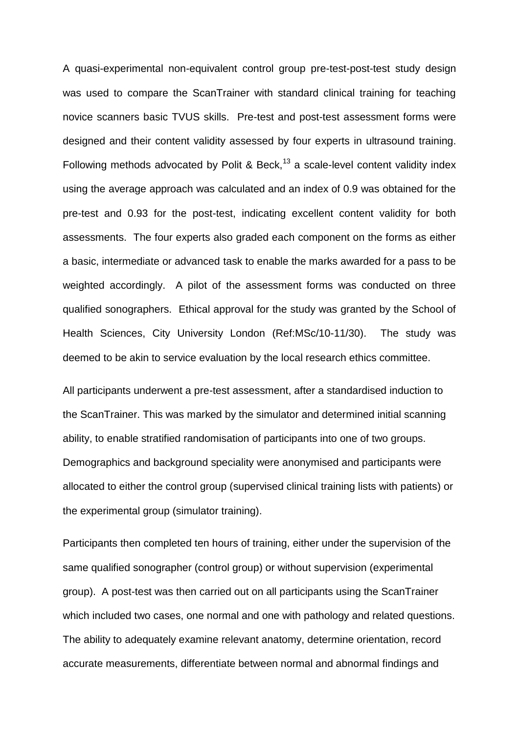A quasi-experimental non-equivalent control group pre-test-post-test study design was used to compare the ScanTrainer with standard clinical training for teaching novice scanners basic TVUS skills. Pre-test and post-test assessment forms were designed and their content validity assessed by four experts in ultrasound training. Following methods advocated by Polit & Beck,<sup>13</sup> a scale-level content validity index using the average approach was calculated and an index of 0.9 was obtained for the pre-test and 0.93 for the post-test, indicating excellent content validity for both assessments. The four experts also graded each component on the forms as either a basic, intermediate or advanced task to enable the marks awarded for a pass to be weighted accordingly. A pilot of the assessment forms was conducted on three qualified sonographers. Ethical approval for the study was granted by the School of Health Sciences, City University London (Ref:MSc/10-11/30). The study was deemed to be akin to service evaluation by the local research ethics committee.

All participants underwent a pre-test assessment, after a standardised induction to the ScanTrainer. This was marked by the simulator and determined initial scanning ability, to enable stratified randomisation of participants into one of two groups. Demographics and background speciality were anonymised and participants were allocated to either the control group (supervised clinical training lists with patients) or the experimental group (simulator training).

Participants then completed ten hours of training, either under the supervision of the same qualified sonographer (control group) or without supervision (experimental group). A post-test was then carried out on all participants using the ScanTrainer which included two cases, one normal and one with pathology and related questions. The ability to adequately examine relevant anatomy, determine orientation, record accurate measurements, differentiate between normal and abnormal findings and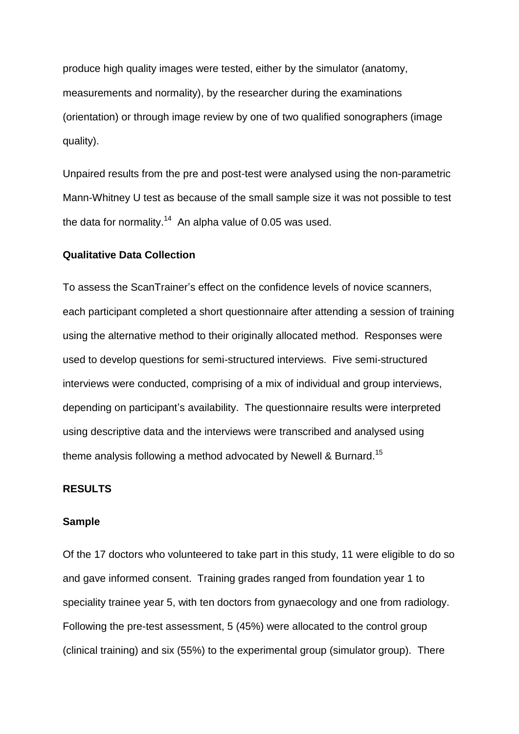produce high quality images were tested, either by the simulator (anatomy, measurements and normality), by the researcher during the examinations (orientation) or through image review by one of two qualified sonographers (image quality).

Unpaired results from the pre and post-test were analysed using the non-parametric Mann-Whitney U test as because of the small sample size it was not possible to test the data for normality.<sup>14</sup> An alpha value of 0.05 was used.

#### **Qualitative Data Collection**

To assess the ScanTrainer's effect on the confidence levels of novice scanners, each participant completed a short questionnaire after attending a session of training using the alternative method to their originally allocated method. Responses were used to develop questions for semi-structured interviews. Five semi-structured interviews were conducted, comprising of a mix of individual and group interviews, depending on participant's availability. The questionnaire results were interpreted using descriptive data and the interviews were transcribed and analysed using theme analysis following a method advocated by Newell & Burnard.<sup>15</sup>

#### **RESULTS**

#### **Sample**

Of the 17 doctors who volunteered to take part in this study, 11 were eligible to do so and gave informed consent. Training grades ranged from foundation year 1 to speciality trainee year 5, with ten doctors from gynaecology and one from radiology. Following the pre-test assessment, 5 (45%) were allocated to the control group (clinical training) and six (55%) to the experimental group (simulator group). There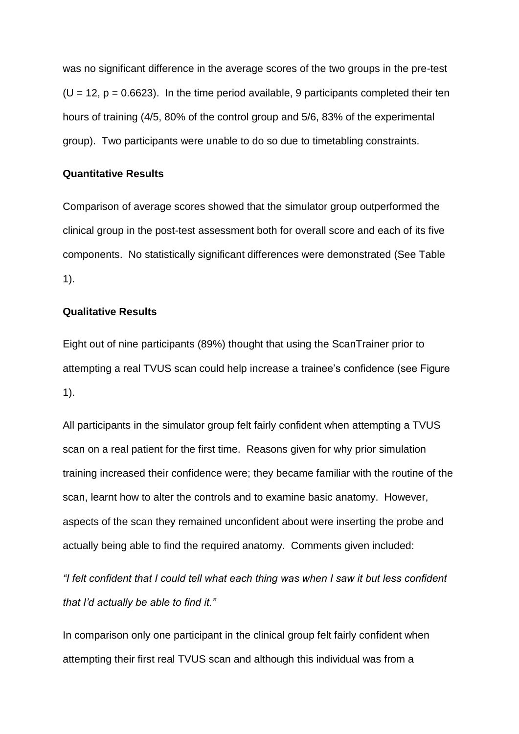was no significant difference in the average scores of the two groups in the pre-test  $(U = 12, p = 0.6623)$ . In the time period available, 9 participants completed their ten hours of training (4/5, 80% of the control group and 5/6, 83% of the experimental group). Two participants were unable to do so due to timetabling constraints.

#### **Quantitative Results**

Comparison of average scores showed that the simulator group outperformed the clinical group in the post-test assessment both for overall score and each of its five components. No statistically significant differences were demonstrated (See Table 1).

## **Qualitative Results**

Eight out of nine participants (89%) thought that using the ScanTrainer prior to attempting a real TVUS scan could help increase a trainee's confidence (see Figure 1).

All participants in the simulator group felt fairly confident when attempting a TVUS scan on a real patient for the first time. Reasons given for why prior simulation training increased their confidence were; they became familiar with the routine of the scan, learnt how to alter the controls and to examine basic anatomy. However, aspects of the scan they remained unconfident about were inserting the probe and actually being able to find the required anatomy. Comments given included:

*"I felt confident that I could tell what each thing was when I saw it but less confident that I'd actually be able to find it."*

In comparison only one participant in the clinical group felt fairly confident when attempting their first real TVUS scan and although this individual was from a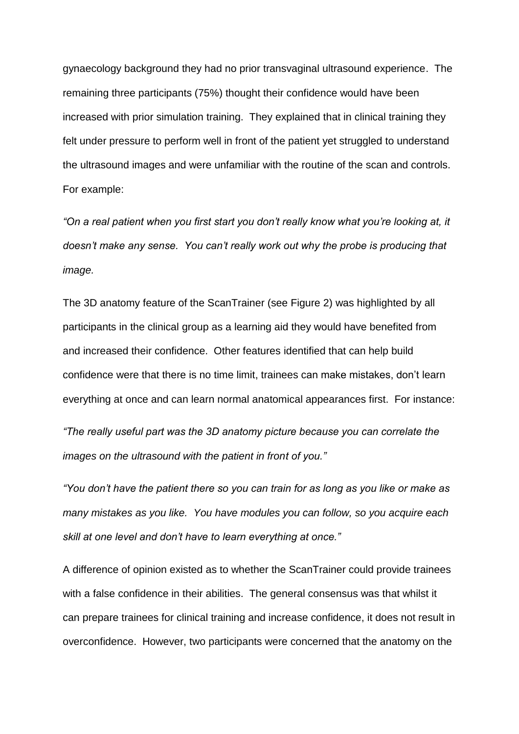gynaecology background they had no prior transvaginal ultrasound experience. The remaining three participants (75%) thought their confidence would have been increased with prior simulation training. They explained that in clinical training they felt under pressure to perform well in front of the patient yet struggled to understand the ultrasound images and were unfamiliar with the routine of the scan and controls. For example:

*"On a real patient when you first start you don't really know what you're looking at, it doesn't make any sense. You can't really work out why the probe is producing that image.*

The 3D anatomy feature of the ScanTrainer (see Figure 2) was highlighted by all participants in the clinical group as a learning aid they would have benefited from and increased their confidence. Other features identified that can help build confidence were that there is no time limit, trainees can make mistakes, don't learn everything at once and can learn normal anatomical appearances first. For instance:

*"The really useful part was the 3D anatomy picture because you can correlate the images on the ultrasound with the patient in front of you."*

*"You don't have the patient there so you can train for as long as you like or make as many mistakes as you like. You have modules you can follow, so you acquire each skill at one level and don't have to learn everything at once."*

A difference of opinion existed as to whether the ScanTrainer could provide trainees with a false confidence in their abilities. The general consensus was that whilst it can prepare trainees for clinical training and increase confidence, it does not result in overconfidence. However, two participants were concerned that the anatomy on the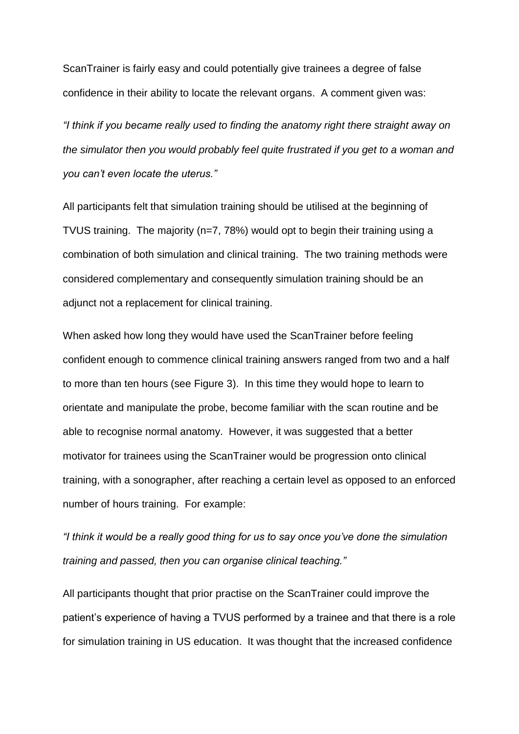ScanTrainer is fairly easy and could potentially give trainees a degree of false confidence in their ability to locate the relevant organs. A comment given was:

*"I think if you became really used to finding the anatomy right there straight away on the simulator then you would probably feel quite frustrated if you get to a woman and you can't even locate the uterus."*

All participants felt that simulation training should be utilised at the beginning of TVUS training. The majority (n=7, 78%) would opt to begin their training using a combination of both simulation and clinical training. The two training methods were considered complementary and consequently simulation training should be an adjunct not a replacement for clinical training.

When asked how long they would have used the ScanTrainer before feeling confident enough to commence clinical training answers ranged from two and a half to more than ten hours (see Figure 3). In this time they would hope to learn to orientate and manipulate the probe, become familiar with the scan routine and be able to recognise normal anatomy. However, it was suggested that a better motivator for trainees using the ScanTrainer would be progression onto clinical training, with a sonographer, after reaching a certain level as opposed to an enforced number of hours training. For example:

*"I think it would be a really good thing for us to say once you've done the simulation training and passed, then you can organise clinical teaching."*

All participants thought that prior practise on the ScanTrainer could improve the patient's experience of having a TVUS performed by a trainee and that there is a role for simulation training in US education. It was thought that the increased confidence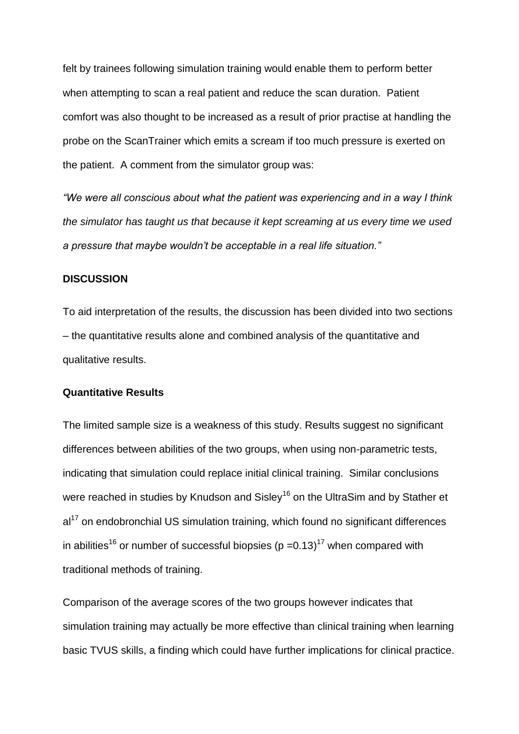felt by trainees following simulation training would enable them to perform better when attempting to scan a real patient and reduce the scan duration. Patient comfort was also thought to be increased as a result of prior practise at handling the probe on the ScanTrainer which emits a scream if too much pressure is exerted on the patient. A comment from the simulator group was:

*"We were all conscious about what the patient was experiencing and in a way I think the simulator has taught us that because it kept screaming at us every time we used a pressure that maybe wouldn't be acceptable in a real life situation."*

#### **DISCUSSION**

To aid interpretation of the results, the discussion has been divided into two sections – the quantitative results alone and combined analysis of the quantitative and qualitative results.

#### **Quantitative Results**

The limited sample size is a weakness of this study. Results suggest no significant differences between abilities of the two groups, when using non-parametric tests, indicating that simulation could replace initial clinical training. Similar conclusions were reached in studies by Knudson and Sisley<sup>16</sup> on the UltraSim and by Stather et  $al<sup>17</sup>$  on endobronchial US simulation training, which found no significant differences in abilities<sup>16</sup> or number of successful biopsies (p = 0.13)<sup>17</sup> when compared with traditional methods of training.

Comparison of the average scores of the two groups however indicates that simulation training may actually be more effective than clinical training when learning basic TVUS skills, a finding which could have further implications for clinical practice.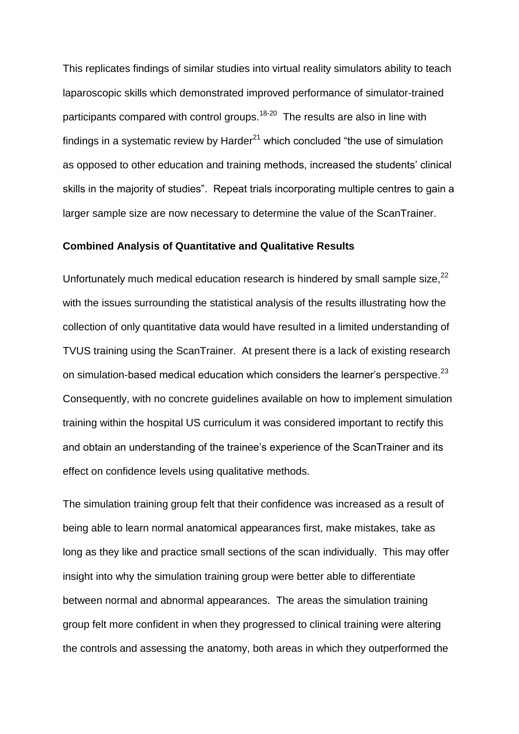This replicates findings of similar studies into virtual reality simulators ability to teach laparoscopic skills which demonstrated improved performance of simulator-trained participants compared with control groups.<sup>18-20</sup> The results are also in line with findings in a systematic review by Harder $^{21}$  which concluded "the use of simulation as opposed to other education and training methods, increased the students' clinical skills in the majority of studies". Repeat trials incorporating multiple centres to gain a larger sample size are now necessary to determine the value of the ScanTrainer.

#### **Combined Analysis of Quantitative and Qualitative Results**

Unfortunately much medical education research is hindered by small sample size, $^{22}$ with the issues surrounding the statistical analysis of the results illustrating how the collection of only quantitative data would have resulted in a limited understanding of TVUS training using the ScanTrainer. At present there is a lack of existing research on simulation-based medical education which considers the learner's perspective. $^{23}$ Consequently, with no concrete guidelines available on how to implement simulation training within the hospital US curriculum it was considered important to rectify this and obtain an understanding of the trainee's experience of the ScanTrainer and its effect on confidence levels using qualitative methods.

The simulation training group felt that their confidence was increased as a result of being able to learn normal anatomical appearances first, make mistakes, take as long as they like and practice small sections of the scan individually. This may offer insight into why the simulation training group were better able to differentiate between normal and abnormal appearances. The areas the simulation training group felt more confident in when they progressed to clinical training were altering the controls and assessing the anatomy, both areas in which they outperformed the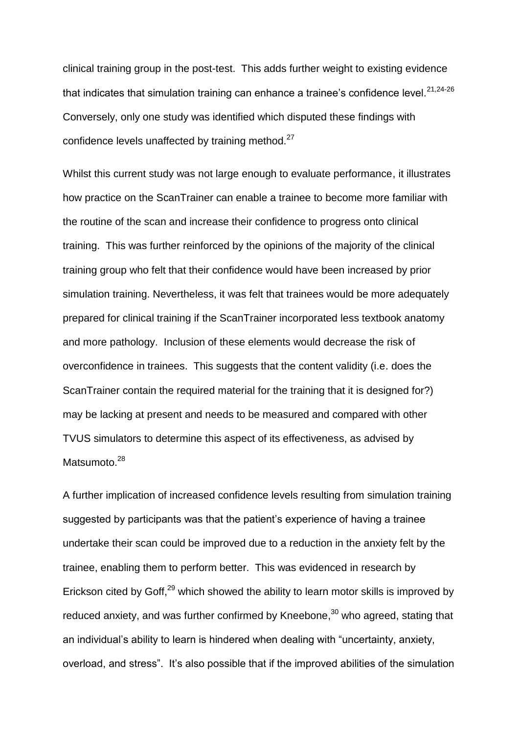clinical training group in the post-test. This adds further weight to existing evidence that indicates that simulation training can enhance a trainee's confidence level. $^{21,24\text{-}26}$ Conversely, only one study was identified which disputed these findings with confidence levels unaffected by training method. $27$ 

Whilst this current study was not large enough to evaluate performance, it illustrates how practice on the ScanTrainer can enable a trainee to become more familiar with the routine of the scan and increase their confidence to progress onto clinical training. This was further reinforced by the opinions of the majority of the clinical training group who felt that their confidence would have been increased by prior simulation training. Nevertheless, it was felt that trainees would be more adequately prepared for clinical training if the ScanTrainer incorporated less textbook anatomy and more pathology. Inclusion of these elements would decrease the risk of overconfidence in trainees. This suggests that the content validity (i.e. does the ScanTrainer contain the required material for the training that it is designed for?) may be lacking at present and needs to be measured and compared with other TVUS simulators to determine this aspect of its effectiveness, as advised by Matsumoto.<sup>28</sup>

A further implication of increased confidence levels resulting from simulation training suggested by participants was that the patient's experience of having a trainee undertake their scan could be improved due to a reduction in the anxiety felt by the trainee, enabling them to perform better. This was evidenced in research by Erickson cited by Goff, $^{29}$  which showed the ability to learn motor skills is improved by reduced anxiety, and was further confirmed by Kneebone,<sup>30</sup> who agreed, stating that an individual's ability to learn is hindered when dealing with "uncertainty, anxiety, overload, and stress". It's also possible that if the improved abilities of the simulation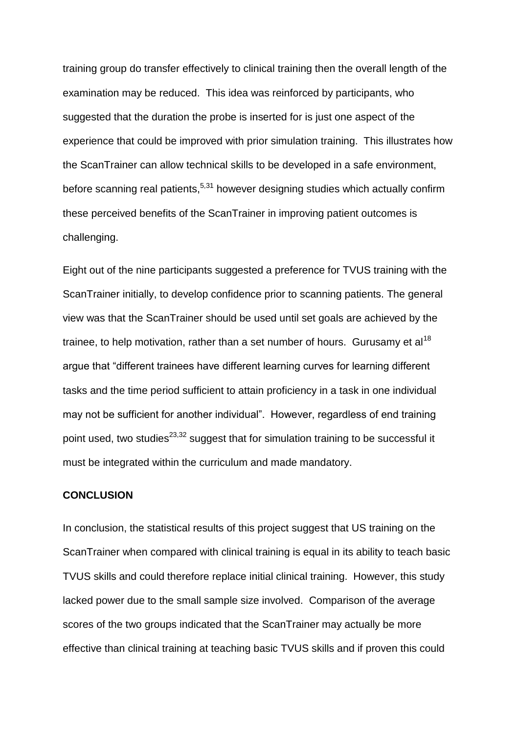training group do transfer effectively to clinical training then the overall length of the examination may be reduced. This idea was reinforced by participants, who suggested that the duration the probe is inserted for is just one aspect of the experience that could be improved with prior simulation training. This illustrates how the ScanTrainer can allow technical skills to be developed in a safe environment, before scanning real patients,<sup>5,31</sup> however designing studies which actually confirm these perceived benefits of the ScanTrainer in improving patient outcomes is challenging.

Eight out of the nine participants suggested a preference for TVUS training with the ScanTrainer initially, to develop confidence prior to scanning patients. The general view was that the ScanTrainer should be used until set goals are achieved by the trainee, to help motivation, rather than a set number of hours. Gurusamy et al<sup>18</sup> argue that "different trainees have different learning curves for learning different tasks and the time period sufficient to attain proficiency in a task in one individual may not be sufficient for another individual". However, regardless of end training point used, two studies<sup>23,32</sup> suggest that for simulation training to be successful it must be integrated within the curriculum and made mandatory.

#### **CONCLUSION**

In conclusion, the statistical results of this project suggest that US training on the ScanTrainer when compared with clinical training is equal in its ability to teach basic TVUS skills and could therefore replace initial clinical training. However, this study lacked power due to the small sample size involved. Comparison of the average scores of the two groups indicated that the ScanTrainer may actually be more effective than clinical training at teaching basic TVUS skills and if proven this could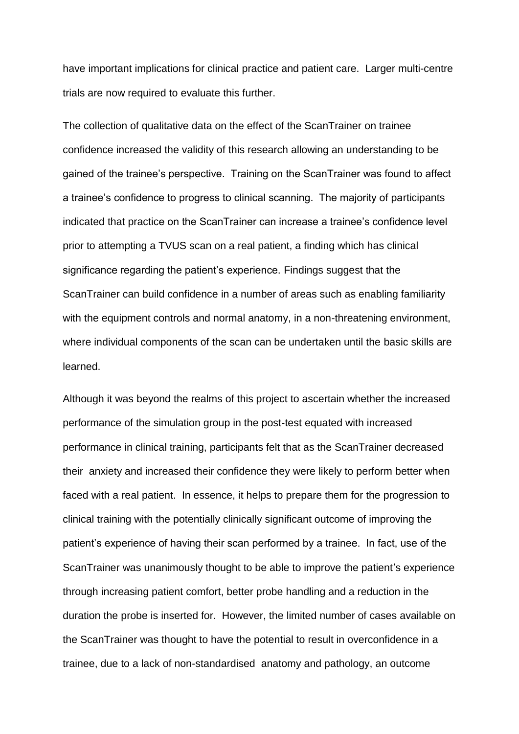have important implications for clinical practice and patient care. Larger multi-centre trials are now required to evaluate this further.

The collection of qualitative data on the effect of the ScanTrainer on trainee confidence increased the validity of this research allowing an understanding to be gained of the trainee's perspective. Training on the ScanTrainer was found to affect a trainee's confidence to progress to clinical scanning. The majority of participants indicated that practice on the ScanTrainer can increase a trainee's confidence level prior to attempting a TVUS scan on a real patient, a finding which has clinical significance regarding the patient's experience. Findings suggest that the ScanTrainer can build confidence in a number of areas such as enabling familiarity with the equipment controls and normal anatomy, in a non-threatening environment, where individual components of the scan can be undertaken until the basic skills are learned.

Although it was beyond the realms of this project to ascertain whether the increased performance of the simulation group in the post-test equated with increased performance in clinical training, participants felt that as the ScanTrainer decreased their anxiety and increased their confidence they were likely to perform better when faced with a real patient. In essence, it helps to prepare them for the progression to clinical training with the potentially clinically significant outcome of improving the patient's experience of having their scan performed by a trainee. In fact, use of the ScanTrainer was unanimously thought to be able to improve the patient's experience through increasing patient comfort, better probe handling and a reduction in the duration the probe is inserted for. However, the limited number of cases available on the ScanTrainer was thought to have the potential to result in overconfidence in a trainee, due to a lack of non-standardised anatomy and pathology, an outcome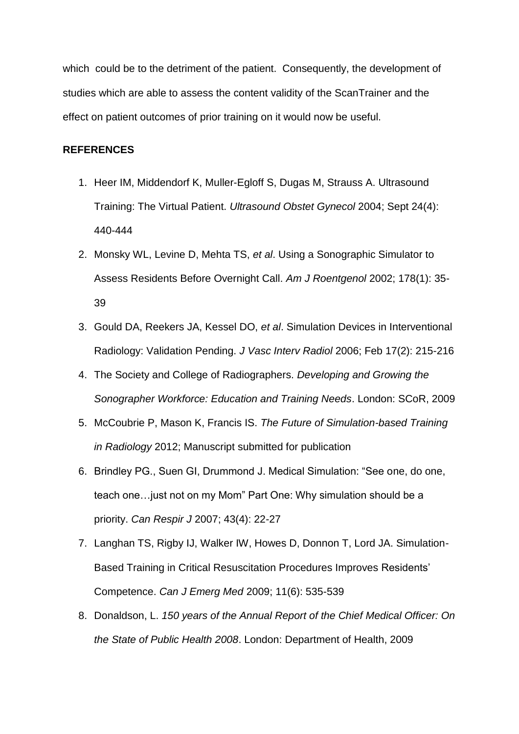which could be to the detriment of the patient. Consequently, the development of studies which are able to assess the content validity of the ScanTrainer and the effect on patient outcomes of prior training on it would now be useful.

# **REFERENCES**

- 1. Heer IM, Middendorf K, Muller-Egloff S, Dugas M, Strauss A. Ultrasound Training: The Virtual Patient. *Ultrasound Obstet Gynecol* 2004; Sept 24(4): 440-444
- 2. Monsky WL, Levine D, Mehta TS, *et al*. Using a Sonographic Simulator to Assess Residents Before Overnight Call. *Am J Roentgenol* 2002; 178(1): 35- 39
- 3. Gould DA, Reekers JA, Kessel DO, *et al*. Simulation Devices in Interventional Radiology: Validation Pending. *J Vasc Interv Radiol* 2006; Feb 17(2): 215-216
- 4. The Society and College of Radiographers. *Developing and Growing the Sonographer Workforce: Education and Training Needs*. London: SCoR, 2009
- 5. McCoubrie P, Mason K, Francis IS. *The Future of Simulation-based Training in Radiology* 2012; Manuscript submitted for publication
- 6. Brindley PG., Suen GI, Drummond J. Medical Simulation: "See one, do one, teach one…just not on my Mom" Part One: Why simulation should be a priority. *Can Respir J* 2007; 43(4): 22-27
- 7. Langhan TS, Rigby IJ, Walker IW, Howes D, Donnon T, Lord JA. Simulation-Based Training in Critical Resuscitation Procedures Improves Residents' Competence. *Can J Emerg Med* 2009; 11(6): 535-539
- 8. Donaldson, L. *150 years of the Annual Report of the Chief Medical Officer: On the State of Public Health 2008*. London: Department of Health, 2009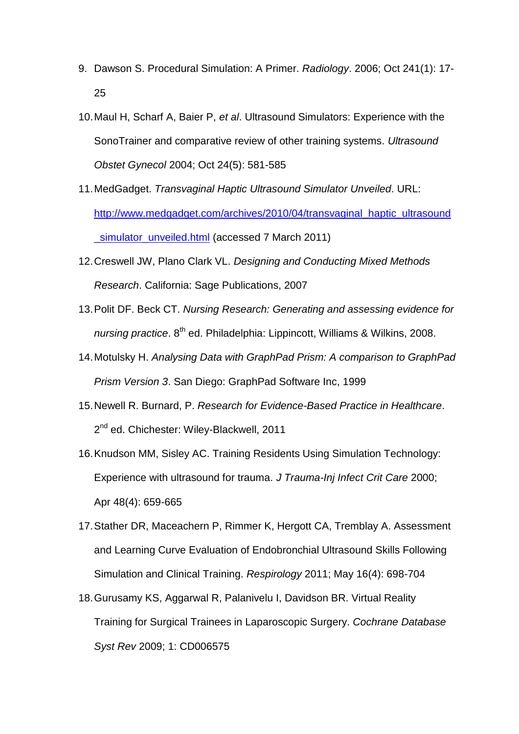- 9. Dawson S. Procedural Simulation: A Primer. *Radiology*. 2006; Oct 241(1): 17- 25
- 10.Maul H, Scharf A, Baier P, *et al*. Ultrasound Simulators: Experience with the SonoTrainer and comparative review of other training systems. *Ultrasound Obstet Gynecol* 2004; Oct 24(5): 581-585
- 11.MedGadget. *Transvaginal Haptic Ultrasound Simulator Unveiled*. URL: [http://www.medgadget.com/archives/2010/04/transvaginal\\_haptic\\_ultrasound](http://www.medgadget.com/archives/2010/04/transvaginal_haptic_ultrasound_simulator_unveiled.html) simulator\_unveiled.html (accessed 7 March 2011)
- 12.Creswell JW, Plano Clark VL. *Designing and Conducting Mixed Methods Research*. California: Sage Publications, 2007
- 13.Polit DF. Beck CT. *Nursing Research: Generating and assessing evidence for nursing practice*. 8<sup>th</sup> ed. Philadelphia: Lippincott, Williams & Wilkins, 2008.
- 14.Motulsky H. *Analysing Data with GraphPad Prism: A comparison to GraphPad Prism Version 3*. San Diego: GraphPad Software Inc, 1999
- 15.Newell R. Burnard, P. *Research for Evidence-Based Practice in Healthcare*. 2<sup>nd</sup> ed. Chichester: Wiley-Blackwell, 2011
- 16.Knudson MM, Sisley AC. Training Residents Using Simulation Technology: Experience with ultrasound for trauma. *J Trauma-Inj Infect Crit Care* 2000; Apr 48(4): 659-665
- 17.Stather DR, Maceachern P, Rimmer K, Hergott CA, Tremblay A. Assessment and Learning Curve Evaluation of Endobronchial Ultrasound Skills Following Simulation and Clinical Training. *Respirology* 2011; May 16(4): 698-704
- 18.Gurusamy KS, Aggarwal R, Palanivelu I, Davidson BR. Virtual Reality Training for Surgical Trainees in Laparoscopic Surgery. *Cochrane Database Syst Rev* 2009; 1: CD006575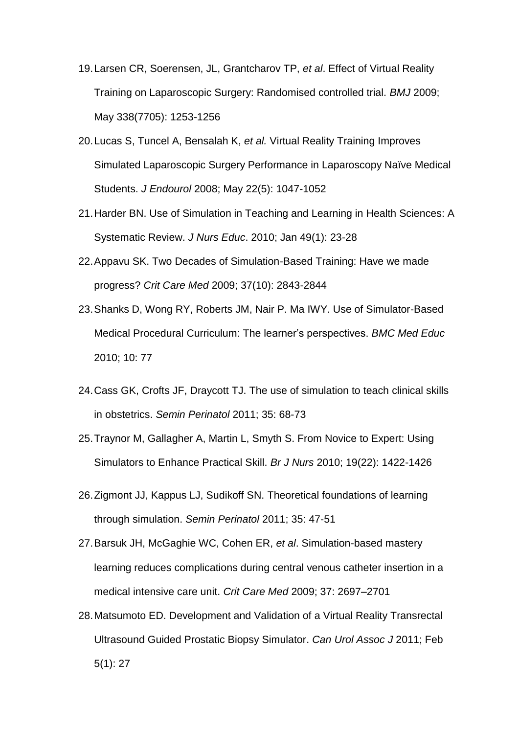- 19.Larsen CR, Soerensen, JL, Grantcharov TP, *et al*. Effect of Virtual Reality Training on Laparoscopic Surgery: Randomised controlled trial. *BMJ* 2009; May 338(7705): 1253-1256
- 20.Lucas S, Tuncel A, Bensalah K, *et al.* Virtual Reality Training Improves Simulated Laparoscopic Surgery Performance in Laparoscopy Naïve Medical Students. *J Endourol* 2008; May 22(5): 1047-1052
- 21.Harder BN. Use of Simulation in Teaching and Learning in Health Sciences: A Systematic Review. *J Nurs Educ*. 2010; Jan 49(1): 23-28
- 22.Appavu SK. Two Decades of Simulation-Based Training: Have we made progress? *Crit Care Med* 2009; 37(10): 2843-2844
- 23.Shanks D, Wong RY, Roberts JM, Nair P. Ma IWY. Use of Simulator-Based Medical Procedural Curriculum: The learner's perspectives. *BMC Med Educ* 2010; 10: 77
- 24.Cass GK, Crofts JF, Draycott TJ. The use of simulation to teach clinical skills in obstetrics. *Semin Perinatol* 2011; 35: 68-73
- 25.Traynor M, Gallagher A, Martin L, Smyth S. From Novice to Expert: Using Simulators to Enhance Practical Skill. *Br J Nurs* 2010; 19(22): 1422-1426
- 26.Zigmont JJ, Kappus LJ, Sudikoff SN. Theoretical foundations of learning through simulation. *Semin Perinatol* 2011; 35: 47-51
- 27.Barsuk JH, McGaghie WC, Cohen ER, *et al*. Simulation-based mastery learning reduces complications during central venous catheter insertion in a medical intensive care unit. *Crit Care Med* 2009; 37: 2697–2701
- 28.Matsumoto ED. Development and Validation of a Virtual Reality Transrectal Ultrasound Guided Prostatic Biopsy Simulator. *Can Urol Assoc J* 2011; Feb 5(1): 27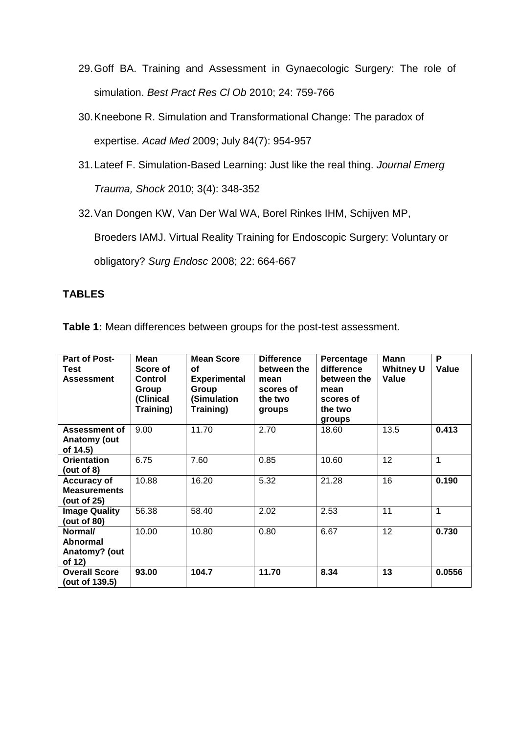- 29.Goff BA. Training and Assessment in Gynaecologic Surgery: The role of simulation. *Best Pract Res Cl Ob* 2010; 24: 759-766
- 30.Kneebone R. Simulation and Transformational Change: The paradox of expertise. *Acad Med* 2009; July 84(7): 954-957
- 31.Lateef F. Simulation-Based Learning: Just like the real thing. *Journal Emerg Trauma, Shock* 2010; 3(4): 348-352

32.Van Dongen KW, Van Der Wal WA, Borel Rinkes IHM, Schijven MP,

Broeders IAMJ. Virtual Reality Training for Endoscopic Surgery: Voluntary or

obligatory? *Surg Endosc* 2008; 22: 664-667

# **TABLES**

**Table 1:** Mean differences between groups for the post-test assessment.

| <b>Part of Post-</b><br>Test<br><b>Assessment</b>        | <b>Mean</b><br>Score of<br>Control<br>Group<br>(Clinical<br>Training) | <b>Mean Score</b><br>οf<br><b>Experimental</b><br>Group<br>(Simulation<br>Training) | <b>Difference</b><br>between the<br>mean<br>scores of<br>the two<br>groups | Percentage<br>difference<br>between the<br>mean<br>scores of<br>the two<br>groups | <b>Mann</b><br><b>Whitney U</b><br>Value | P<br>Value |
|----------------------------------------------------------|-----------------------------------------------------------------------|-------------------------------------------------------------------------------------|----------------------------------------------------------------------------|-----------------------------------------------------------------------------------|------------------------------------------|------------|
| Assessment of<br><b>Anatomy (out</b><br>of 14.5)         | 9.00                                                                  | 11.70                                                                               | 2.70                                                                       | 18.60                                                                             | 13.5                                     | 0.413      |
| <b>Orientation</b><br>(out of 8)                         | 6.75                                                                  | 7.60                                                                                | 0.85                                                                       | 10.60                                                                             | 12                                       | 1          |
| <b>Accuracy of</b><br><b>Measurements</b><br>(out of 25) | 10.88                                                                 | 16.20                                                                               | 5.32                                                                       | 21.28                                                                             | 16                                       | 0.190      |
| <b>Image Quality</b><br>(out of 80)                      | 56.38                                                                 | 58.40                                                                               | 2.02                                                                       | 2.53                                                                              | 11                                       | 1          |
| Normal/<br>Abnormal<br>Anatomy? (out<br>of 12)           | 10.00                                                                 | 10.80                                                                               | 0.80                                                                       | 6.67                                                                              | 12                                       | 0.730      |
| <b>Overall Score</b><br>(out of 139.5)                   | 93.00                                                                 | 104.7                                                                               | 11.70                                                                      | 8.34                                                                              | 13                                       | 0.0556     |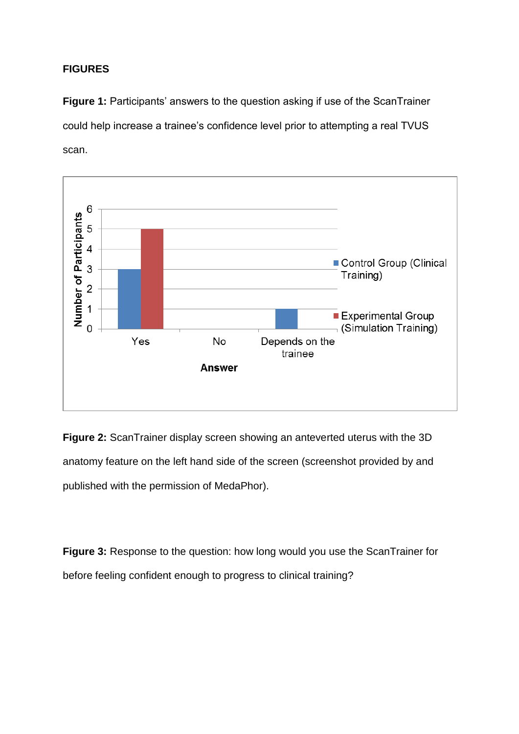# **FIGURES**

**Figure 1:** Participants' answers to the question asking if use of the ScanTrainer could help increase a trainee's confidence level prior to attempting a real TVUS scan.



**Figure 2:** ScanTrainer display screen showing an anteverted uterus with the 3D anatomy feature on the left hand side of the screen (screenshot provided by and published with the permission of MedaPhor).

**Figure 3:** Response to the question: how long would you use the ScanTrainer for before feeling confident enough to progress to clinical training?